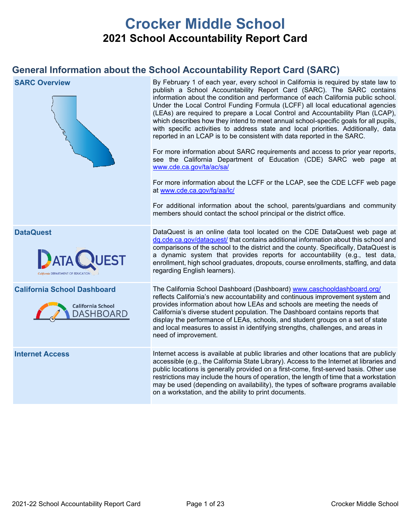# **Crocker Middle School 2021 School Accountability Report Card**

## **General Information about the School Accountability Report Card (SARC)**

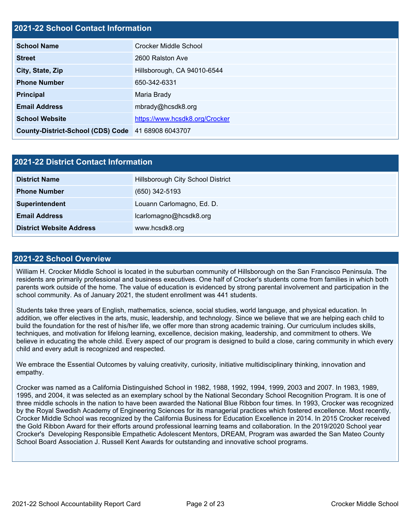#### **2021-22 School Contact Information**

| <b>School Name</b>                                 | Crocker Middle School          |  |  |
|----------------------------------------------------|--------------------------------|--|--|
| <b>Street</b>                                      | 2600 Ralston Ave               |  |  |
| City, State, Zip                                   | Hillsborough, CA 94010-6544    |  |  |
| <b>Phone Number</b>                                | 650-342-6331                   |  |  |
| <b>Principal</b>                                   | Maria Brady                    |  |  |
| <b>Email Address</b>                               | mbrady@hcsdk8.org              |  |  |
| <b>School Website</b>                              | https://www.hcsdk8.org/Crocker |  |  |
| County-District-School (CDS) Code 41 68908 6043707 |                                |  |  |

| 2021-22 District Contact Information |                                   |  |  |  |  |
|--------------------------------------|-----------------------------------|--|--|--|--|
| <b>District Name</b>                 | Hillsborough City School District |  |  |  |  |
| <b>Phone Number</b>                  | $(650)$ 342-5193                  |  |  |  |  |
| Superintendent                       | Louann Carlomagno, Ed. D.         |  |  |  |  |
| <b>Email Address</b>                 | lcarlomagno@hcsdk8.org            |  |  |  |  |
| <b>District Website Address</b>      | www.hcsdk8.org                    |  |  |  |  |

#### **2021-22 School Overview**

William H. Crocker Middle School is located in the suburban community of Hillsborough on the San Francisco Peninsula. The residents are primarily professional and business executives. One half of Crocker's students come from families in which both parents work outside of the home. The value of education is evidenced by strong parental involvement and participation in the school community. As of January 2021, the student enrollment was 441 students.

Students take three years of English, mathematics, science, social studies, world language, and physical education. In addition, we offer electives in the arts, music, leadership, and technology. Since we believe that we are helping each child to build the foundation for the rest of his/her life, we offer more than strong academic training. Our curriculum includes skills, techniques, and motivation for lifelong learning, excellence, decision making, leadership, and commitment to others. We believe in educating the whole child. Every aspect of our program is designed to build a close, caring community in which every child and every adult is recognized and respected.

We embrace the Essential Outcomes by valuing creativity, curiosity, initiative multidisciplinary thinking, innovation and empathy.

Crocker was named as a California Distinguished School in 1982, 1988, 1992, 1994, 1999, 2003 and 2007. In 1983, 1989, 1995, and 2004, it was selected as an exemplary school by the National Secondary School Recognition Program. It is one of three middle schools in the nation to have been awarded the National Blue Ribbon four times. In 1993, Crocker was recognized by the Royal Swedish Academy of Engineering Sciences for its managerial practices which fostered excellence. Most recently, Crocker Middle School was recognized by the California Business for Education Excellence in 2014. In 2015 Crocker received the Gold Ribbon Award for their efforts around professional learning teams and collaboration. In the 2019/2020 School year Crocker's Developing Responsible Empathetic Adolescent Mentors, DREAM, Program was awarded the San Mateo County School Board Association J. Russell Kent Awards for outstanding and innovative school programs.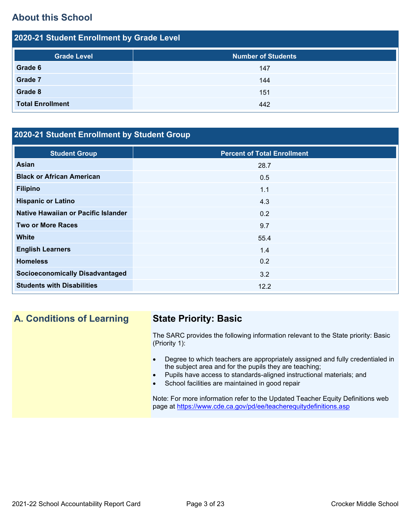## **About this School**

| 2020-21 Student Enrollment by Grade Level |                           |  |  |  |  |
|-------------------------------------------|---------------------------|--|--|--|--|
| <b>Grade Level</b>                        | <b>Number of Students</b> |  |  |  |  |
| Grade 6                                   | 147                       |  |  |  |  |
| <b>Grade 7</b>                            | 144                       |  |  |  |  |
| Grade 8                                   | 151                       |  |  |  |  |
| <b>Total Enrollment</b>                   | 442                       |  |  |  |  |

## **2020-21 Student Enrollment by Student Group**

| <b>Student Group</b>                   | <b>Percent of Total Enrollment</b> |
|----------------------------------------|------------------------------------|
| Asian                                  | 28.7                               |
| <b>Black or African American</b>       | 0.5                                |
| <b>Filipino</b>                        | 1.1                                |
| <b>Hispanic or Latino</b>              | 4.3                                |
| Native Hawaiian or Pacific Islander    | 0.2                                |
| <b>Two or More Races</b>               | 9.7                                |
| <b>White</b>                           | 55.4                               |
| <b>English Learners</b>                | 1.4                                |
| <b>Homeless</b>                        | 0.2                                |
| <b>Socioeconomically Disadvantaged</b> | 3.2                                |
| <b>Students with Disabilities</b>      | 12.2                               |

## **A. Conditions of Learning State Priority: Basic**

The SARC provides the following information relevant to the State priority: Basic (Priority 1):

- Degree to which teachers are appropriately assigned and fully credentialed in the subject area and for the pupils they are teaching;
- Pupils have access to standards-aligned instructional materials; and
- School facilities are maintained in good repair

Note: For more information refer to the Updated Teacher Equity Definitions web page at<https://www.cde.ca.gov/pd/ee/teacherequitydefinitions.asp>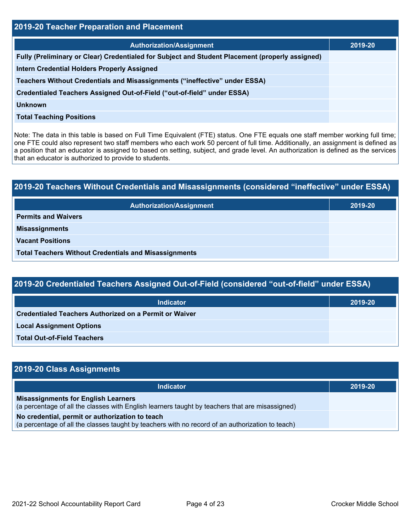| 2019-20 Teacher Preparation and Placement                                                       |         |  |  |  |
|-------------------------------------------------------------------------------------------------|---------|--|--|--|
| <b>Authorization/Assignment</b>                                                                 | 2019-20 |  |  |  |
| Fully (Preliminary or Clear) Credentialed for Subject and Student Placement (properly assigned) |         |  |  |  |
| <b>Intern Credential Holders Properly Assigned</b>                                              |         |  |  |  |
| Teachers Without Credentials and Misassignments ("ineffective" under ESSA)                      |         |  |  |  |
| Credentialed Teachers Assigned Out-of-Field ("out-of-field" under ESSA)                         |         |  |  |  |
| <b>Unknown</b>                                                                                  |         |  |  |  |
| <b>Total Teaching Positions</b>                                                                 |         |  |  |  |

Note: The data in this table is based on Full Time Equivalent (FTE) status. One FTE equals one staff member working full time; one FTE could also represent two staff members who each work 50 percent of full time. Additionally, an assignment is defined as a position that an educator is assigned to based on setting, subject, and grade level. An authorization is defined as the services that an educator is authorized to provide to students.

# **2019-20 Teachers Without Credentials and Misassignments (considered "ineffective" under ESSA) Authorization/Assignment 2019-20 Permits and Waivers Misassignments Vacant Positions Total Teachers Without Credentials and Misassignments**

| 2019-20 Credentialed Teachers Assigned Out-of-Field (considered "out-of-field" under ESSA) |         |  |  |  |
|--------------------------------------------------------------------------------------------|---------|--|--|--|
| <b>Indicator</b>                                                                           | 2019-20 |  |  |  |
| <b>Credentialed Teachers Authorized on a Permit or Waiver</b>                              |         |  |  |  |
| <b>Local Assignment Options</b>                                                            |         |  |  |  |
| <b>Total Out-of-Field Teachers</b>                                                         |         |  |  |  |

| 2019-20 Class Assignments                                                                                                                           |         |
|-----------------------------------------------------------------------------------------------------------------------------------------------------|---------|
| <b>Indicator</b>                                                                                                                                    | 2019-20 |
| <b>Misassignments for English Learners</b><br>(a percentage of all the classes with English learners taught by teachers that are misassigned)       |         |
| No credential, permit or authorization to teach<br>(a percentage of all the classes taught by teachers with no record of an authorization to teach) |         |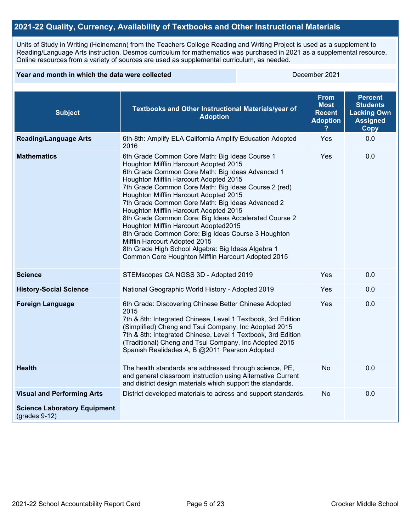#### **2021-22 Quality, Currency, Availability of Textbooks and Other Instructional Materials**

Units of Study in Writing (Heinemann) from the Teachers College Reading and Writing Project is used as a supplement to Reading/Language Arts instruction. Desmos curriculum for mathematics was purchased in 2021 as a supplemental resource. Online resources from a variety of sources are used as supplemental curriculum, as needed.

#### **Year and month in which the data were collected December 2021**

| <b>Subject</b>                                         | Textbooks and Other Instructional Materials/year of<br><b>Adoption</b>                                                                                                                                                                                                                                                                                                                                                                                                                                                                                                                                                                                                                      | <b>From</b><br><b>Most</b><br><b>Recent</b><br><b>Adoption</b> | <b>Percent</b><br><b>Students</b><br><b>Lacking Own</b><br><b>Assigned</b><br>Copy |
|--------------------------------------------------------|---------------------------------------------------------------------------------------------------------------------------------------------------------------------------------------------------------------------------------------------------------------------------------------------------------------------------------------------------------------------------------------------------------------------------------------------------------------------------------------------------------------------------------------------------------------------------------------------------------------------------------------------------------------------------------------------|----------------------------------------------------------------|------------------------------------------------------------------------------------|
| <b>Reading/Language Arts</b>                           | 6th-8th: Amplify ELA California Amplify Education Adopted<br>2016                                                                                                                                                                                                                                                                                                                                                                                                                                                                                                                                                                                                                           | Yes                                                            | 0.0                                                                                |
| <b>Mathematics</b>                                     | 6th Grade Common Core Math: Big Ideas Course 1<br>Houghton Mifflin Harcourt Adopted 2015<br>6th Grade Common Core Math: Big Ideas Advanced 1<br>Houghton Mifflin Harcourt Adopted 2015<br>7th Grade Common Core Math: Big Ideas Course 2 (red)<br>Houghton Mifflin Harcourt Adopted 2015<br>7th Grade Common Core Math: Big Ideas Advanced 2<br>Houghton Mifflin Harcourt Adopted 2015<br>8th Grade Common Core: Big Ideas Accelerated Course 2<br>Houghton Mifflin Harcourt Adopted2015<br>8th Grade Common Core: Big Ideas Course 3 Houghton<br>Mifflin Harcourt Adopted 2015<br>8th Grade High School Algebra: Big Ideas Algebra 1<br>Common Core Houghton Mifflin Harcourt Adopted 2015 | Yes                                                            | 0.0                                                                                |
| <b>Science</b>                                         | STEMscopes CA NGSS 3D - Adopted 2019                                                                                                                                                                                                                                                                                                                                                                                                                                                                                                                                                                                                                                                        | Yes                                                            | 0.0                                                                                |
| <b>History-Social Science</b>                          | National Geographic World History - Adopted 2019                                                                                                                                                                                                                                                                                                                                                                                                                                                                                                                                                                                                                                            | <b>Yes</b>                                                     | 0.0                                                                                |
| <b>Foreign Language</b>                                | 6th Grade: Discovering Chinese Better Chinese Adopted<br>2015<br>7th & 8th: Integrated Chinese, Level 1 Textbook, 3rd Edition<br>(Simplified) Cheng and Tsui Company, Inc Adopted 2015<br>7th & 8th: Integrated Chinese, Level 1 Textbook, 3rd Edition<br>(Traditional) Cheng and Tsui Company, Inc Adopted 2015<br>Spanish Realidades A, B @2011 Pearson Adopted                                                                                                                                                                                                                                                                                                                           | Yes                                                            | 0.0                                                                                |
| <b>Health</b>                                          | The health standards are addressed through science, PE,<br>and general classroom instruction using Alternative Current<br>and district design materials which support the standards.                                                                                                                                                                                                                                                                                                                                                                                                                                                                                                        | No                                                             | 0.0                                                                                |
| <b>Visual and Performing Arts</b>                      | District developed materials to adress and support standards.                                                                                                                                                                                                                                                                                                                                                                                                                                                                                                                                                                                                                               | <b>No</b>                                                      | 0.0                                                                                |
| <b>Science Laboratory Equipment</b><br>$(grades 9-12)$ |                                                                                                                                                                                                                                                                                                                                                                                                                                                                                                                                                                                                                                                                                             |                                                                |                                                                                    |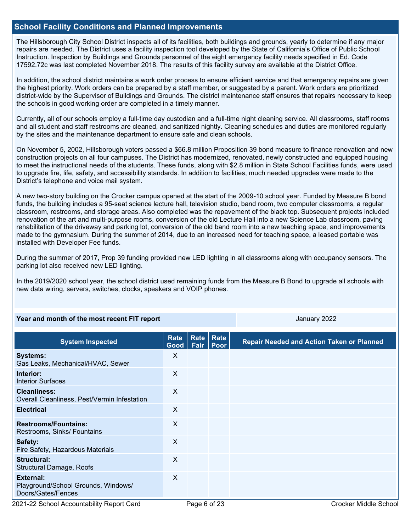#### **School Facility Conditions and Planned Improvements**

The Hillsborough City School District inspects all of its facilities, both buildings and grounds, yearly to determine if any major repairs are needed. The District uses a facility inspection tool developed by the State of California's Office of Public School Instruction. Inspection by Buildings and Grounds personnel of the eight emergency facility needs specified in Ed. Code 17592.72c was last completed November 2018. The results of this facility survey are available at the District Office.

In addition, the school district maintains a work order process to ensure efficient service and that emergency repairs are given the highest priority. Work orders can be prepared by a staff member, or suggested by a parent. Work orders are prioritized district-wide by the Supervisor of Buildings and Grounds. The district maintenance staff ensures that repairs necessary to keep the schools in good working order are completed in a timely manner.

Currently, all of our schools employ a full-time day custodian and a full-time night cleaning service. All classrooms, staff rooms and all student and staff restrooms are cleaned, and sanitized nightly. Cleaning schedules and duties are monitored regularly by the sites and the maintenance department to ensure safe and clean schools.

On November 5, 2002, Hillsborough voters passed a \$66.8 million Proposition 39 bond measure to finance renovation and new construction projects on all four campuses. The District has modernized, renovated, newly constructed and equipped housing to meet the instructional needs of the students. These funds, along with \$2.8 million in State School Facilities funds, were used to upgrade fire, life, safety, and accessibility standards. In addition to facilities, much needed upgrades were made to the District's telephone and voice mail system.

A new two-story building on the Crocker campus opened at the start of the 2009-10 school year. Funded by Measure B bond funds, the building includes a 95-seat science lecture hall, television studio, band room, two computer classrooms, a regular classroom, restrooms, and storage areas. Also completed was the repavement of the black top. Subsequent projects included renovation of the art and multi-purpose rooms, conversion of the old Lecture Hall into a new Science Lab classroom, paving rehabilitation of the driveway and parking lot, conversion of the old band room into a new teaching space, and improvements made to the gymnasium. During the summer of 2014, due to an increased need for teaching space, a leased portable was installed with Developer Fee funds.

During the summer of 2017, Prop 39 funding provided new LED lighting in all classrooms along with occupancy sensors. The parking lot also received new LED lighting.

In the 2019/2020 school year, the school district used remaining funds from the Measure B Bond to upgrade all schools with new data wiring, servers, switches, clocks, speakers and VOIP phones.

#### **Year and month of the most recent FIT report** And Allen January 2022 **January 2022**

| <b>System Inspected</b>                                                | Rate<br>Good | <b>Rate</b><br>Fair | Rate<br>Poor | <b>Repair Needed and Action Taken or Planned</b> |
|------------------------------------------------------------------------|--------------|---------------------|--------------|--------------------------------------------------|
| <b>Systems:</b><br>Gas Leaks, Mechanical/HVAC, Sewer                   | X            |                     |              |                                                  |
| Interior:<br><b>Interior Surfaces</b>                                  | X            |                     |              |                                                  |
| <b>Cleanliness:</b><br>Overall Cleanliness, Pest/Vermin Infestation    | X            |                     |              |                                                  |
| <b>Electrical</b>                                                      | X            |                     |              |                                                  |
| <b>Restrooms/Fountains:</b><br>Restrooms, Sinks/ Fountains             | X            |                     |              |                                                  |
| Safety:<br>Fire Safety, Hazardous Materials                            | X            |                     |              |                                                  |
| Structural:<br><b>Structural Damage, Roofs</b>                         | X            |                     |              |                                                  |
| External:<br>Playground/School Grounds, Windows/<br>Doors/Gates/Fences | X            |                     |              |                                                  |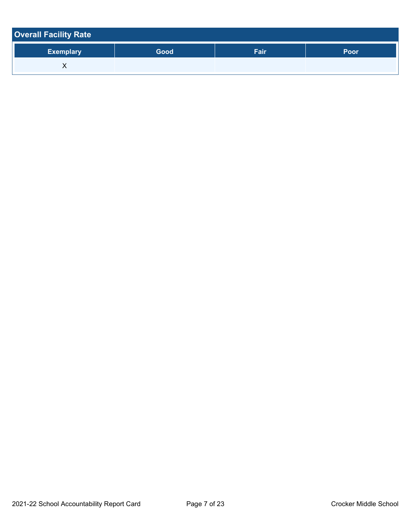| <b>Overall Facility Rate</b> |      |      |      |
|------------------------------|------|------|------|
| <b>Exemplary</b>             | Good | Fair | Poor |
|                              |      |      |      |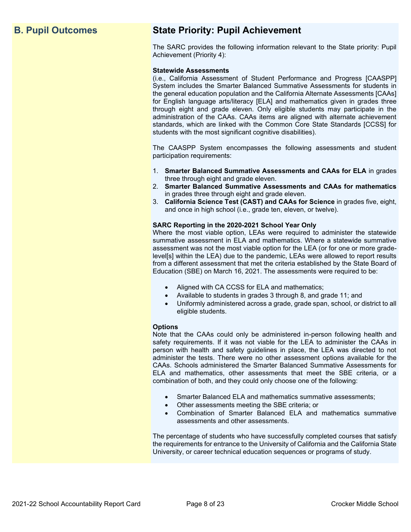## **B. Pupil Outcomes State Priority: Pupil Achievement**

The SARC provides the following information relevant to the State priority: Pupil Achievement (Priority 4):

#### **Statewide Assessments**

(i.e., California Assessment of Student Performance and Progress [CAASPP] System includes the Smarter Balanced Summative Assessments for students in the general education population and the California Alternate Assessments [CAAs] for English language arts/literacy [ELA] and mathematics given in grades three through eight and grade eleven. Only eligible students may participate in the administration of the CAAs. CAAs items are aligned with alternate achievement standards, which are linked with the Common Core State Standards [CCSS] for students with the most significant cognitive disabilities).

The CAASPP System encompasses the following assessments and student participation requirements:

- 1. **Smarter Balanced Summative Assessments and CAAs for ELA** in grades three through eight and grade eleven.
- 2. **Smarter Balanced Summative Assessments and CAAs for mathematics** in grades three through eight and grade eleven.
- 3. **California Science Test (CAST) and CAAs for Science** in grades five, eight, and once in high school (i.e., grade ten, eleven, or twelve).

#### **SARC Reporting in the 2020-2021 School Year Only**

Where the most viable option, LEAs were required to administer the statewide summative assessment in ELA and mathematics. Where a statewide summative assessment was not the most viable option for the LEA (or for one or more gradelevel[s] within the LEA) due to the pandemic, LEAs were allowed to report results from a different assessment that met the criteria established by the State Board of Education (SBE) on March 16, 2021. The assessments were required to be:

- Aligned with CA CCSS for ELA and mathematics;
- Available to students in grades 3 through 8, and grade 11; and
- Uniformly administered across a grade, grade span, school, or district to all eligible students.

#### **Options**

Note that the CAAs could only be administered in-person following health and safety requirements. If it was not viable for the LEA to administer the CAAs in person with health and safety guidelines in place, the LEA was directed to not administer the tests. There were no other assessment options available for the CAAs. Schools administered the Smarter Balanced Summative Assessments for ELA and mathematics, other assessments that meet the SBE criteria, or a combination of both, and they could only choose one of the following:

- Smarter Balanced ELA and mathematics summative assessments;
- Other assessments meeting the SBE criteria; or
- Combination of Smarter Balanced ELA and mathematics summative assessments and other assessments.

The percentage of students who have successfully completed courses that satisfy the requirements for entrance to the University of California and the California State University, or career technical education sequences or programs of study.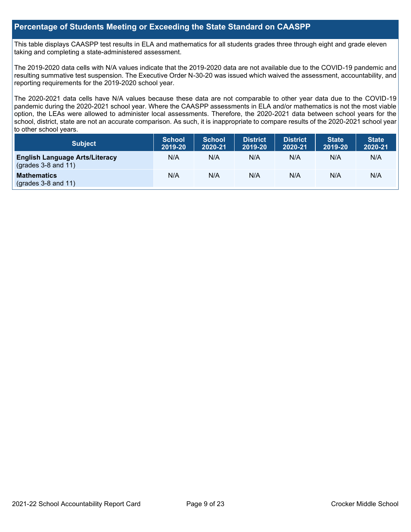#### **Percentage of Students Meeting or Exceeding the State Standard on CAASPP**

This table displays CAASPP test results in ELA and mathematics for all students grades three through eight and grade eleven taking and completing a state-administered assessment.

The 2019-2020 data cells with N/A values indicate that the 2019-2020 data are not available due to the COVID-19 pandemic and resulting summative test suspension. The Executive Order N-30-20 was issued which waived the assessment, accountability, and reporting requirements for the 2019-2020 school year.

The 2020-2021 data cells have N/A values because these data are not comparable to other year data due to the COVID-19 pandemic during the 2020-2021 school year. Where the CAASPP assessments in ELA and/or mathematics is not the most viable option, the LEAs were allowed to administer local assessments. Therefore, the 2020-2021 data between school years for the school, district, state are not an accurate comparison. As such, it is inappropriate to compare results of the 2020-2021 school year to other school years.

| Subject                                                              | <b>School</b><br>2019-20 | <b>School</b><br>2020-21 | <b>District</b><br>2019-20 | <b>District</b><br>2020-21 | <b>State</b><br>2019-20 | <b>State</b><br>2020-21 |
|----------------------------------------------------------------------|--------------------------|--------------------------|----------------------------|----------------------------|-------------------------|-------------------------|
| <b>English Language Arts/Literacy</b><br>$\left($ grades 3-8 and 11) | N/A                      | N/A                      | N/A                        | N/A                        | N/A                     | N/A                     |
| <b>Mathematics</b><br>$(grades 3-8 and 11)$                          | N/A                      | N/A                      | N/A                        | N/A                        | N/A                     | N/A                     |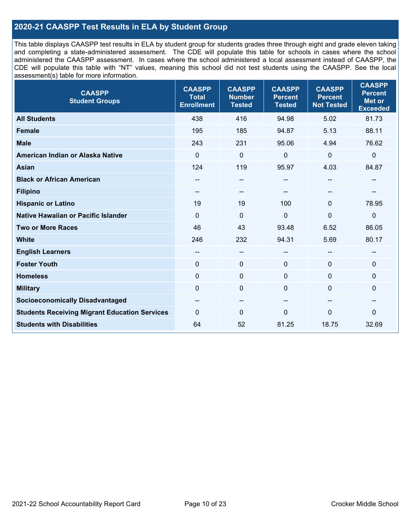### **2020-21 CAASPP Test Results in ELA by Student Group**

This table displays CAASPP test results in ELA by student group for students grades three through eight and grade eleven taking and completing a state-administered assessment. The CDE will populate this table for schools in cases where the school administered the CAASPP assessment. In cases where the school administered a local assessment instead of CAASPP, the CDE will populate this table with "NT" values, meaning this school did not test students using the CAASPP. See the local assessment(s) table for more information.

| <b>CAASPP</b><br><b>Student Groups</b>               | <b>CAASPP</b><br><b>Total</b><br><b>Enrollment</b> | <b>CAASPP</b><br><b>Number</b><br><b>Tested</b> | <b>CAASPP</b><br><b>Percent</b><br><b>Tested</b> | <b>CAASPP</b><br><b>Percent</b><br><b>Not Tested</b> | <b>CAASPP</b><br><b>Percent</b><br><b>Met or</b><br><b>Exceeded</b> |
|------------------------------------------------------|----------------------------------------------------|-------------------------------------------------|--------------------------------------------------|------------------------------------------------------|---------------------------------------------------------------------|
| <b>All Students</b>                                  | 438                                                | 416                                             | 94.98                                            | 5.02                                                 | 81.73                                                               |
| <b>Female</b>                                        | 195                                                | 185                                             | 94.87                                            | 5.13                                                 | 88.11                                                               |
| <b>Male</b>                                          | 243                                                | 231                                             | 95.06                                            | 4.94                                                 | 76.62                                                               |
| American Indian or Alaska Native                     | $\mathbf 0$                                        | $\mathbf 0$                                     | 0                                                | 0                                                    | $\pmb{0}$                                                           |
| <b>Asian</b>                                         | 124                                                | 119                                             | 95.97                                            | 4.03                                                 | 84.87                                                               |
| <b>Black or African American</b>                     |                                                    | $\overline{\phantom{m}}$                        | --                                               | $\sim$                                               | --                                                                  |
| <b>Filipino</b>                                      | $\qquad \qquad -$                                  | $\qquad \qquad -$                               |                                                  |                                                      |                                                                     |
| <b>Hispanic or Latino</b>                            | 19                                                 | 19                                              | 100                                              | $\mathbf{0}$                                         | 78.95                                                               |
| Native Hawaiian or Pacific Islander                  | $\mathbf 0$                                        | $\mathbf 0$                                     | 0                                                | 0                                                    | $\mathbf 0$                                                         |
| <b>Two or More Races</b>                             | 46                                                 | 43                                              | 93.48                                            | 6.52                                                 | 86.05                                                               |
| <b>White</b>                                         | 246                                                | 232                                             | 94.31                                            | 5.69                                                 | 80.17                                                               |
| <b>English Learners</b>                              | $- -$                                              | $\overline{\phantom{a}}$                        | --                                               | $\sim$                                               | --                                                                  |
| <b>Foster Youth</b>                                  | 0                                                  | $\mathbf 0$                                     | $\mathbf{0}$                                     | $\mathbf{0}$                                         | $\mathbf 0$                                                         |
| <b>Homeless</b>                                      | $\mathbf 0$                                        | $\pmb{0}$                                       | $\mathbf 0$                                      | 0                                                    | $\mathbf 0$                                                         |
| <b>Military</b>                                      | $\mathbf{0}$                                       | $\mathbf 0$                                     | $\mathbf{0}$                                     | $\Omega$                                             | 0                                                                   |
| <b>Socioeconomically Disadvantaged</b>               | --                                                 | $\qquad \qquad -$                               | --                                               | --                                                   | --                                                                  |
| <b>Students Receiving Migrant Education Services</b> | $\Omega$                                           | $\mathbf 0$                                     | $\Omega$                                         | $\Omega$                                             | 0                                                                   |
| <b>Students with Disabilities</b>                    | 64                                                 | 52                                              | 81.25                                            | 18.75                                                | 32.69                                                               |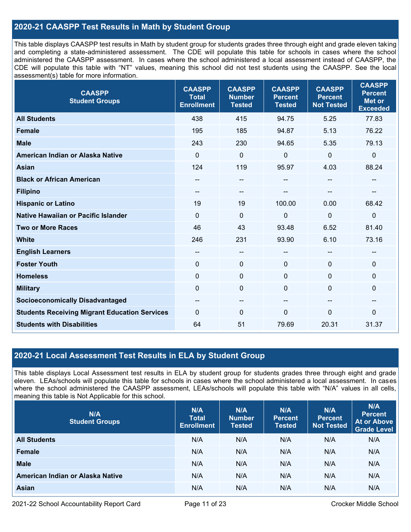### **2020-21 CAASPP Test Results in Math by Student Group**

This table displays CAASPP test results in Math by student group for students grades three through eight and grade eleven taking and completing a state-administered assessment. The CDE will populate this table for schools in cases where the school administered the CAASPP assessment. In cases where the school administered a local assessment instead of CAASPP, the CDE will populate this table with "NT" values, meaning this school did not test students using the CAASPP. See the local assessment(s) table for more information.

| <b>CAASPP</b><br><b>Student Groups</b>               | <b>CAASPP</b><br><b>Total</b><br><b>Enrollment</b> | <b>CAASPP</b><br><b>Number</b><br><b>Tested</b> | <b>CAASPP</b><br><b>Percent</b><br><b>Tested</b> | <b>CAASPP</b><br><b>Percent</b><br><b>Not Tested</b> | <b>CAASPP</b><br><b>Percent</b><br><b>Met or</b><br><b>Exceeded</b> |
|------------------------------------------------------|----------------------------------------------------|-------------------------------------------------|--------------------------------------------------|------------------------------------------------------|---------------------------------------------------------------------|
| <b>All Students</b>                                  | 438                                                | 415                                             | 94.75                                            | 5.25                                                 | 77.83                                                               |
| Female                                               | 195                                                | 185                                             | 94.87                                            | 5.13                                                 | 76.22                                                               |
| <b>Male</b>                                          | 243                                                | 230                                             | 94.65                                            | 5.35                                                 | 79.13                                                               |
| American Indian or Alaska Native                     | $\mathbf 0$                                        | $\mathbf 0$                                     | 0                                                | $\mathbf 0$                                          | $\mathbf 0$                                                         |
| <b>Asian</b>                                         | 124                                                | 119                                             | 95.97                                            | 4.03                                                 | 88.24                                                               |
| <b>Black or African American</b>                     | --                                                 | --                                              | --                                               | $\overline{\phantom{a}}$                             | $\hspace{0.05cm}$                                                   |
| <b>Filipino</b>                                      | --                                                 | --                                              |                                                  |                                                      |                                                                     |
| <b>Hispanic or Latino</b>                            | 19                                                 | 19                                              | 100.00                                           | 0.00                                                 | 68.42                                                               |
| <b>Native Hawaiian or Pacific Islander</b>           | $\mathbf{0}$                                       | $\mathbf 0$                                     | 0                                                | $\Omega$                                             | $\pmb{0}$                                                           |
| <b>Two or More Races</b>                             | 46                                                 | 43                                              | 93.48                                            | 6.52                                                 | 81.40                                                               |
| <b>White</b>                                         | 246                                                | 231                                             | 93.90                                            | 6.10                                                 | 73.16                                                               |
| <b>English Learners</b>                              | --                                                 | --                                              | --                                               |                                                      | --                                                                  |
| <b>Foster Youth</b>                                  | $\mathbf 0$                                        | $\mathbf 0$                                     | $\mathbf{0}$                                     | $\Omega$                                             | $\mathbf 0$                                                         |
| <b>Homeless</b>                                      | $\mathbf{0}$                                       | $\mathbf 0$                                     | $\mathbf{0}$                                     | $\Omega$                                             | $\mathbf 0$                                                         |
| <b>Military</b>                                      | $\mathbf 0$                                        | $\pmb{0}$                                       | 0                                                | $\Omega$                                             | $\mathbf 0$                                                         |
| <b>Socioeconomically Disadvantaged</b>               | --                                                 | --                                              | --                                               | --                                                   | --                                                                  |
| <b>Students Receiving Migrant Education Services</b> | $\mathbf{0}$                                       | 0                                               | $\Omega$                                         | $\Omega$                                             | $\mathbf 0$                                                         |
| <b>Students with Disabilities</b>                    | 64                                                 | 51                                              | 79.69                                            | 20.31                                                | 31.37                                                               |

#### **2020-21 Local Assessment Test Results in ELA by Student Group**

This table displays Local Assessment test results in ELA by student group for students grades three through eight and grade eleven. LEAs/schools will populate this table for schools in cases where the school administered a local assessment. In cases where the school administered the CAASPP assessment, LEAs/schools will populate this table with "N/A" values in all cells, meaning this table is Not Applicable for this school.

| N/A<br><b>Student Groups</b>     | N/A<br><b>Total</b><br><b>Enrollment</b> | N/A<br><b>Number</b><br><b>Tested</b> | N/A<br><b>Percent</b><br><b>Tested</b> | N/A<br>Percent<br><b>Not Tested</b> | N/A<br><b>Percent</b><br><b>At or Above</b><br><b>Grade Level</b> |
|----------------------------------|------------------------------------------|---------------------------------------|----------------------------------------|-------------------------------------|-------------------------------------------------------------------|
| <b>All Students</b>              | N/A                                      | N/A                                   | N/A                                    | N/A                                 | N/A                                                               |
| Female                           | N/A                                      | N/A                                   | N/A                                    | N/A                                 | N/A                                                               |
| <b>Male</b>                      | N/A                                      | N/A                                   | N/A                                    | N/A                                 | N/A                                                               |
| American Indian or Alaska Native | N/A                                      | N/A                                   | N/A                                    | N/A                                 | N/A                                                               |
| <b>Asian</b>                     | N/A                                      | N/A                                   | N/A                                    | N/A                                 | N/A                                                               |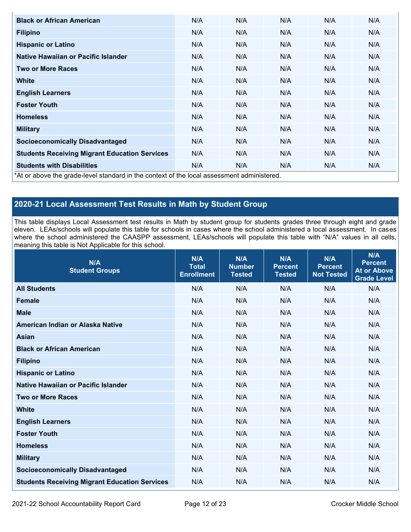| <b>Black or African American</b>                                                          | N/A | N/A | N/A | N/A | N/A |
|-------------------------------------------------------------------------------------------|-----|-----|-----|-----|-----|
| <b>Filipino</b>                                                                           | N/A | N/A | N/A | N/A | N/A |
| <b>Hispanic or Latino</b>                                                                 | N/A | N/A | N/A | N/A | N/A |
| Native Hawaiian or Pacific Islander                                                       | N/A | N/A | N/A | N/A | N/A |
| <b>Two or More Races</b>                                                                  | N/A | N/A | N/A | N/A | N/A |
| White                                                                                     | N/A | N/A | N/A | N/A | N/A |
| <b>English Learners</b>                                                                   | N/A | N/A | N/A | N/A | N/A |
| <b>Foster Youth</b>                                                                       | N/A | N/A | N/A | N/A | N/A |
| <b>Homeless</b>                                                                           | N/A | N/A | N/A | N/A | N/A |
| <b>Military</b>                                                                           | N/A | N/A | N/A | N/A | N/A |
| <b>Socioeconomically Disadvantaged</b>                                                    | N/A | N/A | N/A | N/A | N/A |
| <b>Students Receiving Migrant Education Services</b>                                      | N/A | N/A | N/A | N/A | N/A |
| <b>Students with Disabilities</b>                                                         | N/A | N/A | N/A | N/A | N/A |
| *At or above the grade-level standard in the context of the local assessment administered |     |     |     |     |     |

\*At or above the grade-level standard in the context of the local assessment administered.

## **2020-21 Local Assessment Test Results in Math by Student Group**

This table displays Local Assessment test results in Math by student group for students grades three through eight and grade eleven. LEAs/schools will populate this table for schools in cases where the school administered a local assessment. In cases where the school administered the CAASPP assessment, LEAs/schools will populate this table with "N/A" values in all cells, meaning this table is Not Applicable for this school.

| N/A<br><b>Student Groups</b>                         | N/A<br><b>Total</b><br><b>Enrollment</b> | N/A<br><b>Number</b><br><b>Tested</b> | N/A<br><b>Percent</b><br><b>Tested</b> | N/A<br><b>Percent</b><br><b>Not Tested</b> | N/A<br><b>Percent</b><br><b>At or Above</b><br><b>Grade Level</b> |
|------------------------------------------------------|------------------------------------------|---------------------------------------|----------------------------------------|--------------------------------------------|-------------------------------------------------------------------|
| <b>All Students</b>                                  | N/A                                      | N/A                                   | N/A                                    | N/A                                        | N/A                                                               |
| <b>Female</b>                                        | N/A                                      | N/A                                   | N/A                                    | N/A                                        | N/A                                                               |
| <b>Male</b>                                          | N/A                                      | N/A                                   | N/A                                    | N/A                                        | N/A                                                               |
| American Indian or Alaska Native                     | N/A                                      | N/A                                   | N/A                                    | N/A                                        | N/A                                                               |
| <b>Asian</b>                                         | N/A                                      | N/A                                   | N/A                                    | N/A                                        | N/A                                                               |
| <b>Black or African American</b>                     | N/A                                      | N/A                                   | N/A                                    | N/A                                        | N/A                                                               |
| <b>Filipino</b>                                      | N/A                                      | N/A                                   | N/A                                    | N/A                                        | N/A                                                               |
| <b>Hispanic or Latino</b>                            | N/A                                      | N/A                                   | N/A                                    | N/A                                        | N/A                                                               |
| Native Hawaiian or Pacific Islander                  | N/A                                      | N/A                                   | N/A                                    | N/A                                        | N/A                                                               |
| <b>Two or More Races</b>                             | N/A                                      | N/A                                   | N/A                                    | N/A                                        | N/A                                                               |
| <b>White</b>                                         | N/A                                      | N/A                                   | N/A                                    | N/A                                        | N/A                                                               |
| <b>English Learners</b>                              | N/A                                      | N/A                                   | N/A                                    | N/A                                        | N/A                                                               |
| <b>Foster Youth</b>                                  | N/A                                      | N/A                                   | N/A                                    | N/A                                        | N/A                                                               |
| <b>Homeless</b>                                      | N/A                                      | N/A                                   | N/A                                    | N/A                                        | N/A                                                               |
| <b>Military</b>                                      | N/A                                      | N/A                                   | N/A                                    | N/A                                        | N/A                                                               |
| <b>Socioeconomically Disadvantaged</b>               | N/A                                      | N/A                                   | N/A                                    | N/A                                        | N/A                                                               |
| <b>Students Receiving Migrant Education Services</b> | N/A                                      | N/A                                   | N/A                                    | N/A                                        | N/A                                                               |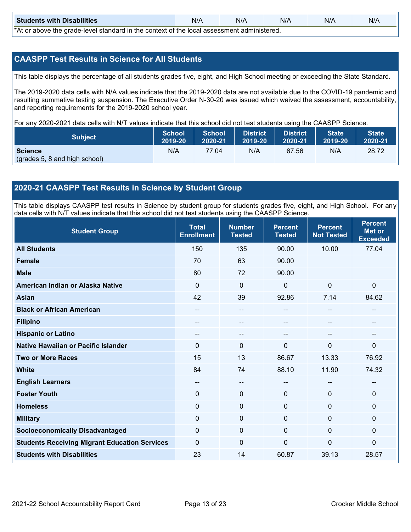| <b>Students with Disabilities</b>                                                           | N/A | N/A | N/A | N/A | N/A |  |  |
|---------------------------------------------------------------------------------------------|-----|-----|-----|-----|-----|--|--|
| *At as above the escale level standard in the context of the local accordinate admissioned. |     |     |     |     |     |  |  |

\*At or above the grade-level standard in the context of the local assessment administered.

#### **CAASPP Test Results in Science for All Students**

This table displays the percentage of all students grades five, eight, and High School meeting or exceeding the State Standard.

The 2019-2020 data cells with N/A values indicate that the 2019-2020 data are not available due to the COVID-19 pandemic and resulting summative testing suspension. The Executive Order N-30-20 was issued which waived the assessment, accountability, and reporting requirements for the 2019-2020 school year.

For any 2020-2021 data cells with N/T values indicate that this school did not test students using the CAASPP Science.

| <b>Subject</b>                           | <b>School</b> | <b>School</b> | District | <b>District</b> | <b>State</b> | <b>State</b> |
|------------------------------------------|---------------|---------------|----------|-----------------|--------------|--------------|
|                                          | 2019-20       | 2020-21       | 2019-20  | 2020-21         | 2019-20      | 2020-21      |
| Science<br>(grades 5, 8 and high school) | N/A           | 77.04         | N/A      | 67.56           | N/A          | 28.72        |

#### **2020-21 CAASPP Test Results in Science by Student Group**

This table displays CAASPP test results in Science by student group for students grades five, eight, and High School. For any data cells with N/T values indicate that this school did not test students using the CAASPP Science.

| <b>Student Group</b>                                 | <b>Total</b><br><b>Enrollment</b> | <b>Number</b><br><b>Tested</b> | <b>Percent</b><br><b>Tested</b> | <b>Percent</b><br><b>Not Tested</b> | <b>Percent</b><br><b>Met or</b><br><b>Exceeded</b> |
|------------------------------------------------------|-----------------------------------|--------------------------------|---------------------------------|-------------------------------------|----------------------------------------------------|
| <b>All Students</b>                                  | 150                               | 135                            | 90.00                           | 10.00                               | 77.04                                              |
| <b>Female</b>                                        | 70                                | 63                             | 90.00                           |                                     |                                                    |
| <b>Male</b>                                          | 80                                | 72                             | 90.00                           |                                     |                                                    |
| American Indian or Alaska Native                     | $\Omega$                          | $\mathbf 0$                    | $\mathbf 0$                     | $\mathbf 0$                         | $\mathbf{0}$                                       |
| <b>Asian</b>                                         | 42                                | 39                             | 92.86                           | 7.14                                | 84.62                                              |
| <b>Black or African American</b>                     | $\qquad \qquad -$                 | --                             |                                 | --                                  |                                                    |
| <b>Filipino</b>                                      | --                                | --                             | --                              | --                                  |                                                    |
| <b>Hispanic or Latino</b>                            | --                                | --                             |                                 | --                                  |                                                    |
| Native Hawaiian or Pacific Islander                  | 0                                 | $\mathbf 0$                    | $\mathbf{0}$                    | $\mathbf 0$                         | $\mathbf{0}$                                       |
| <b>Two or More Races</b>                             | 15                                | 13                             | 86.67                           | 13.33                               | 76.92                                              |
| <b>White</b>                                         | 84                                | 74                             | 88.10                           | 11.90                               | 74.32                                              |
| <b>English Learners</b>                              | --                                | --                             |                                 | --                                  |                                                    |
| <b>Foster Youth</b>                                  | 0                                 | $\mathbf 0$                    | $\mathbf{0}$                    | 0                                   | $\mathbf{0}$                                       |
| <b>Homeless</b>                                      | 0                                 | 0                              | $\mathbf 0$                     | 0                                   | $\mathbf 0$                                        |
| <b>Military</b>                                      | $\Omega$                          | $\mathbf 0$                    | $\mathbf{0}$                    | $\Omega$                            | $\mathbf{0}$                                       |
| <b>Socioeconomically Disadvantaged</b>               | $\Omega$                          | 0                              | $\mathbf 0$                     | $\mathbf 0$                         | $\mathbf{0}$                                       |
| <b>Students Receiving Migrant Education Services</b> | 0                                 | 0                              | $\mathbf 0$                     | $\mathbf 0$                         | $\mathbf{0}$                                       |
| <b>Students with Disabilities</b>                    | 23                                | 14                             | 60.87                           | 39.13                               | 28.57                                              |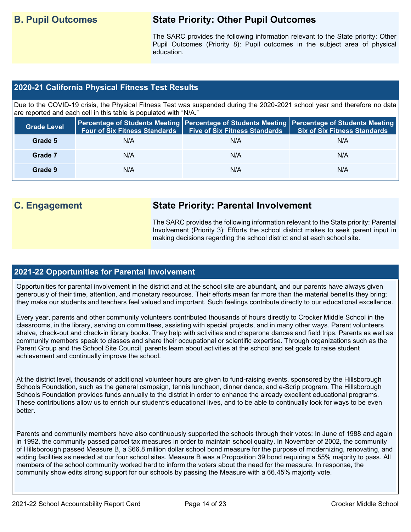## **B. Pupil Outcomes State Priority: Other Pupil Outcomes**

The SARC provides the following information relevant to the State priority: Other Pupil Outcomes (Priority 8): Pupil outcomes in the subject area of physical education.

#### **2020-21 California Physical Fitness Test Results**

Due to the COVID-19 crisis, the Physical Fitness Test was suspended during the 2020-2021 school year and therefore no data are reported and each cell in this table is populated with "N/A."

| <b>Grade Level</b> | <b>Four of Six Fitness Standards</b> | <b>Five of Six Fitness Standards</b> | Percentage of Students Meeting   Percentage of Students Meeting   Percentage of Students Meeting  <br><b>Six of Six Fitness Standards</b> |
|--------------------|--------------------------------------|--------------------------------------|-------------------------------------------------------------------------------------------------------------------------------------------|
| Grade 5            | N/A                                  | N/A                                  | N/A                                                                                                                                       |
| Grade 7            | N/A                                  | N/A                                  | N/A                                                                                                                                       |
| Grade 9            | N/A                                  | N/A                                  | N/A                                                                                                                                       |

## **C. Engagement State Priority: Parental Involvement**

The SARC provides the following information relevant to the State priority: Parental Involvement (Priority 3): Efforts the school district makes to seek parent input in making decisions regarding the school district and at each school site.

#### **2021-22 Opportunities for Parental Involvement**

Opportunities for parental involvement in the district and at the school site are abundant, and our parents have always given generously of their time, attention, and monetary resources. Their efforts mean far more than the material benefits they bring; they make our students and teachers feel valued and important. Such feelings contribute directly to our educational excellence.

Every year, parents and other community volunteers contributed thousands of hours directly to Crocker Middle School in the classrooms, in the library, serving on committees, assisting with special projects, and in many other ways. Parent volunteers shelve, check-out and check-in library books. They help with activities and chaperone dances and field trips. Parents as well as community members speak to classes and share their occupational or scientific expertise. Through organizations such as the Parent Group and the School Site Council, parents learn about activities at the school and set goals to raise student achievement and continually improve the school.

At the district level, thousands of additional volunteer hours are given to fund-raising events, sponsored by the Hillsborough Schools Foundation, such as the general campaign, tennis luncheon, dinner dance, and e-Scrip program. The Hillsborough Schools Foundation provides funds annually to the district in order to enhance the already excellent educational programs. These contributions allow us to enrich our student's educational lives, and to be able to continually look for ways to be even better.

Parents and community members have also continuously supported the schools through their votes: In June of 1988 and again in 1992, the community passed parcel tax measures in order to maintain school quality. In November of 2002, the community of Hillsborough passed Measure B, a \$66.8 million dollar school bond measure for the purpose of modernizing, renovating, and adding facilities as needed at our four school sites. Measure B was a Proposition 39 bond requiring a 55% majority to pass. All members of the school community worked hard to inform the voters about the need for the measure. In response, the community show edits strong support for our schools by passing the Measure with a 66.45% majority vote.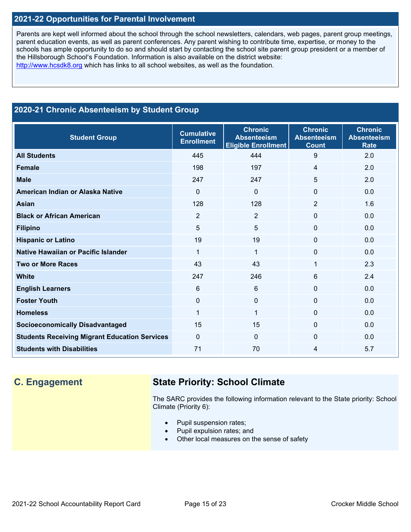### **2021-22 Opportunities for Parental Involvement**

Parents are kept well informed about the school through the school newsletters, calendars, web pages, parent group meetings, parent education events, as well as parent conferences. Any parent wishing to contribute time, expertise, or money to the schools has ample opportunity to do so and should start by contacting the school site parent group president or a member of the Hillsborough School's Foundation. Information is also available on the district website: [http://www.hcsdk8.org](http://www.hcsdk8.org/) which has links to all school websites, as well as the foundation.

## **2020-21 Chronic Absenteeism by Student Group**

| <b>Student Group</b>                                 | <b>Cumulative</b><br><b>Enrollment</b> | <b>Chronic</b><br><b>Absenteeism</b><br><b>Eligible Enrollment</b> | <b>Chronic</b><br><b>Absenteeism</b><br><b>Count</b> | <b>Chronic</b><br><b>Absenteeism</b><br><b>Rate</b> |
|------------------------------------------------------|----------------------------------------|--------------------------------------------------------------------|------------------------------------------------------|-----------------------------------------------------|
| <b>All Students</b>                                  | 445                                    | 444                                                                | 9                                                    | 2.0                                                 |
| <b>Female</b>                                        | 198                                    | 197                                                                | 4                                                    | 2.0                                                 |
| <b>Male</b>                                          | 247                                    | 247                                                                | 5                                                    | 2.0                                                 |
| American Indian or Alaska Native                     | $\Omega$                               | 0                                                                  | 0                                                    | 0.0                                                 |
| <b>Asian</b>                                         | 128                                    | 128                                                                | $\overline{2}$                                       | 1.6                                                 |
| <b>Black or African American</b>                     | $\overline{2}$                         | $\overline{2}$                                                     | $\mathbf 0$                                          | 0.0                                                 |
| <b>Filipino</b>                                      | 5                                      | 5                                                                  | 0                                                    | 0.0                                                 |
| <b>Hispanic or Latino</b>                            | 19                                     | 19                                                                 | 0                                                    | 0.0                                                 |
| Native Hawaiian or Pacific Islander                  | 1                                      | 1                                                                  | 0                                                    | 0.0                                                 |
| <b>Two or More Races</b>                             | 43                                     | 43                                                                 | 1                                                    | 2.3                                                 |
| <b>White</b>                                         | 247                                    | 246                                                                | 6                                                    | 2.4                                                 |
| <b>English Learners</b>                              | $6\phantom{1}$                         | 6                                                                  | $\Omega$                                             | 0.0                                                 |
| <b>Foster Youth</b>                                  | $\mathbf 0$                            | $\Omega$                                                           | $\Omega$                                             | 0.0                                                 |
| <b>Homeless</b>                                      | $\mathbf{1}$                           | 1                                                                  | $\Omega$                                             | 0.0                                                 |
| <b>Socioeconomically Disadvantaged</b>               | 15                                     | 15                                                                 | $\Omega$                                             | 0.0                                                 |
| <b>Students Receiving Migrant Education Services</b> | $\mathbf{0}$                           | $\Omega$                                                           | $\Omega$                                             | 0.0                                                 |
| <b>Students with Disabilities</b>                    | 71                                     | 70                                                                 | 4                                                    | 5.7                                                 |

## **C. Engagement State Priority: School Climate**

The SARC provides the following information relevant to the State priority: School Climate (Priority 6):

- Pupil suspension rates;
- Pupil expulsion rates; and
- Other local measures on the sense of safety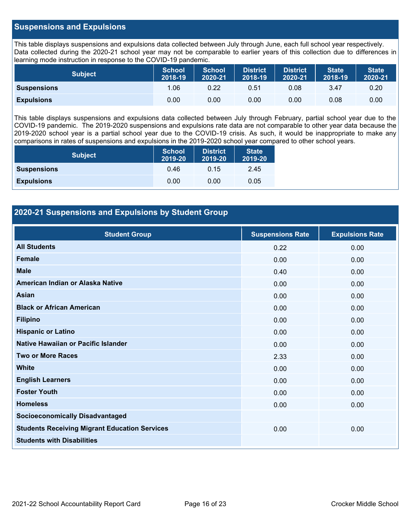#### **Suspensions and Expulsions**

This table displays suspensions and expulsions data collected between July through June, each full school year respectively. Data collected during the 2020-21 school year may not be comparable to earlier years of this collection due to differences in learning mode instruction in response to the COVID-19 pandemic.

| <b>Subject</b>     | <b>School</b><br>2018-19 | <b>School</b><br>2020-21 | <b>District</b><br>2018-19 | District<br>2020-21 | <b>State</b><br>2018-19 | <b>State</b><br>2020-21 |
|--------------------|--------------------------|--------------------------|----------------------------|---------------------|-------------------------|-------------------------|
| <b>Suspensions</b> | 1.06                     | 0.22                     | 0.51                       | 0.08                | 3.47                    | 0.20                    |
| <b>Expulsions</b>  | 0.00                     | 0.00                     | 0.00                       | 0.00                | 0.08                    | 0.00                    |

This table displays suspensions and expulsions data collected between July through February, partial school year due to the COVID-19 pandemic. The 2019-2020 suspensions and expulsions rate data are not comparable to other year data because the 2019-2020 school year is a partial school year due to the COVID-19 crisis. As such, it would be inappropriate to make any comparisons in rates of suspensions and expulsions in the 2019-2020 school year compared to other school years.

| <b>Subject</b>     | <b>School</b><br>2019-20 | <b>District</b><br>2019-20 | <b>State</b><br>2019-20 |
|--------------------|--------------------------|----------------------------|-------------------------|
| <b>Suspensions</b> | 0.46                     | 0.15                       | 2.45                    |
| <b>Expulsions</b>  | 0.00                     | 0.00                       | 0.05                    |

### **2020-21 Suspensions and Expulsions by Student Group**

| <b>Student Group</b>                                 | <b>Suspensions Rate</b> | <b>Expulsions Rate</b> |
|------------------------------------------------------|-------------------------|------------------------|
| <b>All Students</b>                                  | 0.22                    | 0.00                   |
| <b>Female</b>                                        | 0.00                    | 0.00                   |
| <b>Male</b>                                          | 0.40                    | 0.00                   |
| American Indian or Alaska Native                     | 0.00                    | 0.00                   |
| <b>Asian</b>                                         | 0.00                    | 0.00                   |
| <b>Black or African American</b>                     | 0.00                    | 0.00                   |
| <b>Filipino</b>                                      | 0.00                    | 0.00                   |
| <b>Hispanic or Latino</b>                            | 0.00                    | 0.00                   |
| Native Hawaiian or Pacific Islander                  | 0.00                    | 0.00                   |
| <b>Two or More Races</b>                             | 2.33                    | 0.00                   |
| <b>White</b>                                         | 0.00                    | 0.00                   |
| <b>English Learners</b>                              | 0.00                    | 0.00                   |
| <b>Foster Youth</b>                                  | 0.00                    | 0.00                   |
| <b>Homeless</b>                                      | 0.00                    | 0.00                   |
| <b>Socioeconomically Disadvantaged</b>               |                         |                        |
| <b>Students Receiving Migrant Education Services</b> | 0.00                    | 0.00                   |
| <b>Students with Disabilities</b>                    |                         |                        |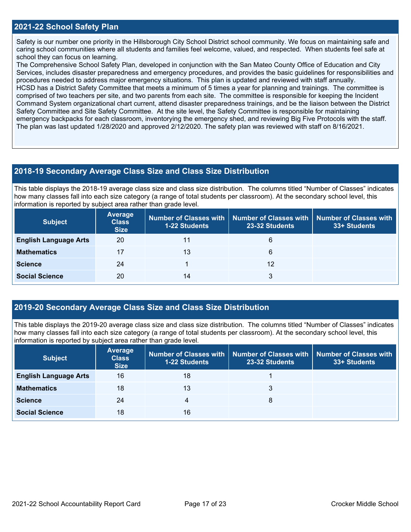#### **2021-22 School Safety Plan**

Safety is our number one priority in the Hillsborough City School District school community. We focus on maintaining safe and caring school communities where all students and families feel welcome, valued, and respected. When students feel safe at school they can focus on learning.

The Comprehensive School Safety Plan, developed in conjunction with the San Mateo County Office of Education and City Services, includes disaster preparedness and emergency procedures, and provides the basic guidelines for responsibilities and procedures needed to address major emergency situations. This plan is updated and reviewed with staff annually. HCSD has a District Safety Committee that meets a minimum of 5 times a year for planning and trainings. The committee is comprised of two teachers per site, and two parents from each site. The committee is responsible for keeping the Incident Command System organizational chart current, attend disaster preparedness trainings, and be the liaison between the District Safety Committee and Site Safety Committee. At the site level, the Safety Committee is responsible for maintaining emergency backpacks for each classroom, inventorying the emergency shed, and reviewing Big Five Protocols with the staff. The plan was last updated 1/28/2020 and approved 2/12/2020. The safety plan was reviewed with staff on 8/16/2021.

#### **2018-19 Secondary Average Class Size and Class Size Distribution**

This table displays the 2018-19 average class size and class size distribution. The columns titled "Number of Classes" indicates how many classes fall into each size category (a range of total students per classroom). At the secondary school level, this information is reported by subject area rather than grade level.

| <b>Subject</b>               | <b>Average</b><br><b>Class</b><br><b>Size</b> | <b>Number of Classes with</b><br><b>1-22 Students</b> | Number of Classes with<br>23-32 Students | <b>Number of Classes with</b><br>33+ Students |
|------------------------------|-----------------------------------------------|-------------------------------------------------------|------------------------------------------|-----------------------------------------------|
| <b>English Language Arts</b> | 20                                            | 11                                                    | 6                                        |                                               |
| <b>Mathematics</b>           | 17                                            | 13                                                    | 6                                        |                                               |
| <b>Science</b>               | 24                                            |                                                       | 12                                       |                                               |
| <b>Social Science</b>        | 20                                            | 14                                                    | 3                                        |                                               |

#### **2019-20 Secondary Average Class Size and Class Size Distribution**

This table displays the 2019-20 average class size and class size distribution. The columns titled "Number of Classes" indicates how many classes fall into each size category (a range of total students per classroom). At the secondary school level, this information is reported by subject area rather than grade level.

| <b>Subject</b>               | <b>Average</b><br><b>Class</b><br><b>Size</b> | <b>1-22 Students</b> | Number of Classes with   Number of Classes with   Number of Classes with<br>23-32 Students | 33+ Students |
|------------------------------|-----------------------------------------------|----------------------|--------------------------------------------------------------------------------------------|--------------|
| <b>English Language Arts</b> | 16                                            | 18                   |                                                                                            |              |
| <b>Mathematics</b>           | 18                                            | 13                   | 3                                                                                          |              |
| <b>Science</b>               | 24                                            | 4                    | 8                                                                                          |              |
| <b>Social Science</b>        | 18                                            | 16                   |                                                                                            |              |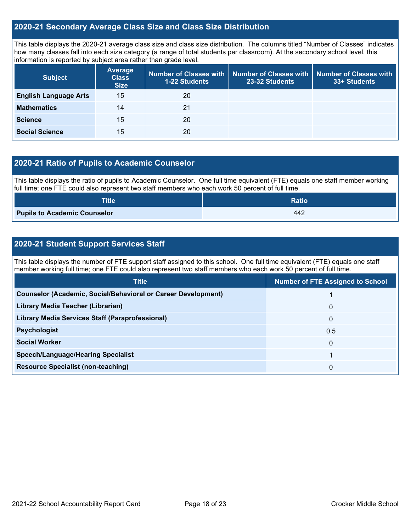#### **2020-21 Secondary Average Class Size and Class Size Distribution**

This table displays the 2020-21 average class size and class size distribution. The columns titled "Number of Classes" indicates how many classes fall into each size category (a range of total students per classroom). At the secondary school level, this information is reported by subject area rather than grade level.

| <b>Subject</b>               | <b>Average</b><br><b>Class</b><br><b>Size</b> | 1-22 Students | Number of Classes with   Number of Classes with<br>23-32 Students | Number of Classes with<br>33+ Students |
|------------------------------|-----------------------------------------------|---------------|-------------------------------------------------------------------|----------------------------------------|
| <b>English Language Arts</b> | 15                                            | 20            |                                                                   |                                        |
| <b>Mathematics</b>           | 14                                            | 21            |                                                                   |                                        |
| <b>Science</b>               | 15                                            | 20            |                                                                   |                                        |
| <b>Social Science</b>        | 15                                            | 20            |                                                                   |                                        |

#### **2020-21 Ratio of Pupils to Academic Counselor**

This table displays the ratio of pupils to Academic Counselor. One full time equivalent (FTE) equals one staff member working full time; one FTE could also represent two staff members who each work 50 percent of full time.

| <b>Title</b>                        | <b>Ratio</b> |
|-------------------------------------|--------------|
| <b>Pupils to Academic Counselor</b> | 442          |

### **2020-21 Student Support Services Staff**

This table displays the number of FTE support staff assigned to this school. One full time equivalent (FTE) equals one staff member working full time; one FTE could also represent two staff members who each work 50 percent of full time.

| <b>Title</b>                                                         | <b>Number of FTE Assigned to School</b> |
|----------------------------------------------------------------------|-----------------------------------------|
| <b>Counselor (Academic, Social/Behavioral or Career Development)</b> |                                         |
| Library Media Teacher (Librarian)                                    | $\mathbf{0}$                            |
| <b>Library Media Services Staff (Paraprofessional)</b>               | 0                                       |
| <b>Psychologist</b>                                                  | 0.5                                     |
| <b>Social Worker</b>                                                 | 0                                       |
| <b>Speech/Language/Hearing Specialist</b>                            |                                         |
| <b>Resource Specialist (non-teaching)</b>                            | 0                                       |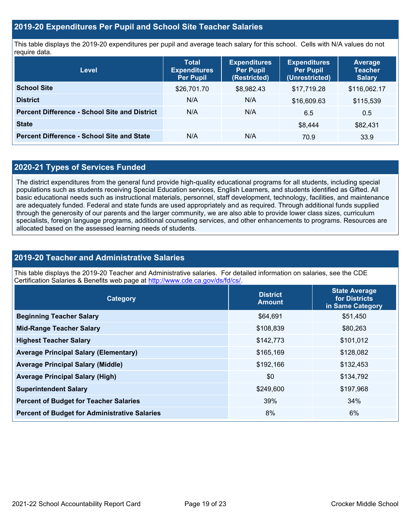#### **2019-20 Expenditures Per Pupil and School Site Teacher Salaries**

This table displays the 2019-20 expenditures per pupil and average teach salary for this school. Cells with N/A values do not require data.

| <b>Level</b>                                         | <b>Total</b><br><b>Expenditures</b><br><b>Per Pupil</b> | <b>Expenditures</b><br><b>Per Pupil</b><br>(Restricted) | <b>Expenditures</b><br><b>Per Pupil</b><br>(Unrestricted) | <b>Average</b><br><b>Teacher</b><br><b>Salary</b> |
|------------------------------------------------------|---------------------------------------------------------|---------------------------------------------------------|-----------------------------------------------------------|---------------------------------------------------|
| <b>School Site</b>                                   | \$26,701.70                                             | \$8,982.43                                              | \$17,719.28                                               | \$116,062.17                                      |
| <b>District</b>                                      | N/A                                                     | N/A                                                     | \$16,609.63                                               | \$115,539                                         |
| <b>Percent Difference - School Site and District</b> | N/A                                                     | N/A                                                     | 6.5                                                       | 0.5                                               |
| <b>State</b>                                         |                                                         |                                                         | \$8,444                                                   | \$82,431                                          |
| <b>Percent Difference - School Site and State</b>    | N/A                                                     | N/A                                                     | 70.9                                                      | 33.9                                              |

#### **2020-21 Types of Services Funded**

The district expenditures from the general fund provide high-quality educational programs for all students, including special populations such as students receiving Special Education services, English Learners, and students identified as Gifted. All basic educational needs such as instructional materials, personnel, staff development, technology, facilities, and maintenance are adequately funded. Federal and state funds are used appropriately and as required. Through additional funds supplied through the generosity of our parents and the larger community, we are also able to provide lower class sizes, curriculum specialists, foreign language programs, additional counseling services, and other enhancements to programs. Resources are allocated based on the assessed learning needs of students.

#### **2019-20 Teacher and Administrative Salaries**

This table displays the 2019-20 Teacher and Administrative salaries. For detailed information on salaries, see the CDE Certification Salaries & Benefits web page at [http://www.cde.ca.gov/ds/fd/cs/.](http://www.cde.ca.gov/ds/fd/cs/)

| Category                                             | <b>District</b><br><b>Amount</b> | <b>State Average</b><br>for Districts<br>in Same Category |  |
|------------------------------------------------------|----------------------------------|-----------------------------------------------------------|--|
| <b>Beginning Teacher Salary</b>                      | \$64,691                         | \$51,450                                                  |  |
| <b>Mid-Range Teacher Salary</b>                      | \$108,839                        | \$80,263                                                  |  |
| <b>Highest Teacher Salary</b>                        | \$142,773                        | \$101,012                                                 |  |
| <b>Average Principal Salary (Elementary)</b>         | \$165,169                        | \$128,082                                                 |  |
| <b>Average Principal Salary (Middle)</b>             | \$192,166                        | \$132,453                                                 |  |
| <b>Average Principal Salary (High)</b>               | \$0                              | \$134,792                                                 |  |
| <b>Superintendent Salary</b>                         | \$249,600                        | \$197,968                                                 |  |
| <b>Percent of Budget for Teacher Salaries</b>        | 39%                              | 34%                                                       |  |
| <b>Percent of Budget for Administrative Salaries</b> | 8%                               | 6%                                                        |  |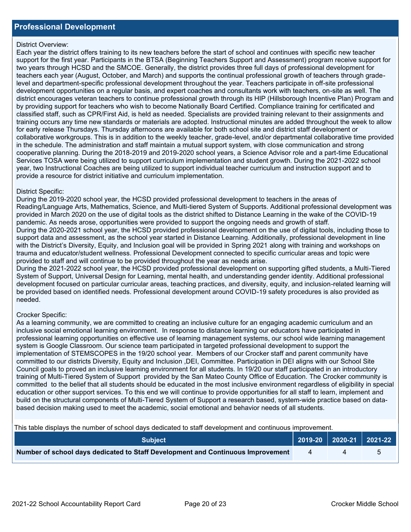#### District Overview:

Each year the district offers training to its new teachers before the start of school and continues with specific new teacher support for the first year. Participants in the BTSA (Beginning Teachers Support and Assessment) program receive support for two years through HCSD and the SMCOE. Generally, the district provides three full days of professional development for teachers each year (August, October, and March) and supports the continual professional growth of teachers through gradelevel and department-specific professional development throughout the year. Teachers participate in off-site professional development opportunities on a regular basis, and expert coaches and consultants work with teachers, on-site as well. The district encourages veteran teachers to continue professional growth through its HIP (Hillsborough Incentive Plan) Program and by providing support for teachers who wish to become Nationally Board Certified. Compliance training for certificated and classified staff, such as CPR/First Aid, is held as needed. Specialists are provided training relevant to their assignments and training occurs any time new standards or materials are adopted. Instructional minutes are added throughout the week to allow for early release Thursdays. Thursday afternoons are available for both school site and district staff development or collaborative workgroups. This is in addition to the weekly teacher, grade-level, and/or departmental collaborative time provided in the schedule. The administration and staff maintain a mutual support system, with close communication and strong cooperative planning. During the 2018-2019 and 2019-2020 school years, a Science Advisor role and a part-time Educational Services TOSA were being utilized to support curriculum implementation and student growth. During the 2021-2022 school year, two Instructional Coaches are being utilized to support individual teacher curriculum and instruction support and to provide a resource for district initiative and curriculum implementation.

#### District Specific:

During the 2019-2020 school year, the HCSD provided professional development to teachers in the areas of Reading/Language Arts, Mathematics, Science, and Multi-tiered System of Supports. Additional professional development was provided in March 2020 on the use of digital tools as the district shifted to Distance Learning in the wake of the COVID-19 pandemic. As needs arose, opportunities were provided to support the ongoing needs and growth of staff. During the 2020-2021 school year, the HCSD provided professional development on the use of digital tools, including those to support data and assessment, as the school year started in Distance Learning. Additionally, professional development in line with the District's Diversity, Equity, and Inclusion goal will be provided in Spring 2021 along with training and workshops on trauma and educator/student wellness. Professional Development connected to specific curricular areas and topic were provided to staff and will continue to be provided throughout the year as needs arise.

During the 2021-2022 school year, the HCSD provided professional development on supporting gifted students, a Multi-Tiered System of Support, Universal Design for Learning, mental health, and understanding gender identity. Additional professional development focused on particular curricular areas, teaching practices, and diversity, equity, and inclusion-related learning will be provided based on identified needs. Professional development around COVID-19 safety procedures is also provided as needed.

#### Crocker Specific:

As a learning community, we are committed to creating an inclusive culture for an engaging academic curriculum and an inclusive social emotional learning environment. In response to distance learning our educators have participated in professional learning opportunities on effective use of learning management systems, our school wide learning management system is Google Classroom. Our science team participated in targeted professional development to support the implementation of STEMSCOPES in the 19/20 school year. Members of our Crocker staff and parent community have committed to our districts Diversity, Equity and Inclusion ,DEI, Committee. Participation in DEI aligns with our School Site Council goals to proved an inclusive learning environment for all students. In 19/20 our staff participated in an introductory training of Multi-Tiered System of Support provided by the San Mateo County Office of Education. The Crocker community is committed to the belief that all students should be educated in the most inclusive environment regardless of eligibility in special education or other support services. To this end we will continue to provide opportunities for all staff to learn, implement and build on the structural components of Multi-Tiered System of Support a research based, system-wide practice based on databased decision making used to meet the academic, social emotional and behavior needs of all students.

This table displays the number of school days dedicated to staff development and continuous improvement.

| <b>Subject</b>                                                                  |  | 2019-20   2020-21   2021-22 |
|---------------------------------------------------------------------------------|--|-----------------------------|
| Number of school days dedicated to Staff Development and Continuous Improvement |  |                             |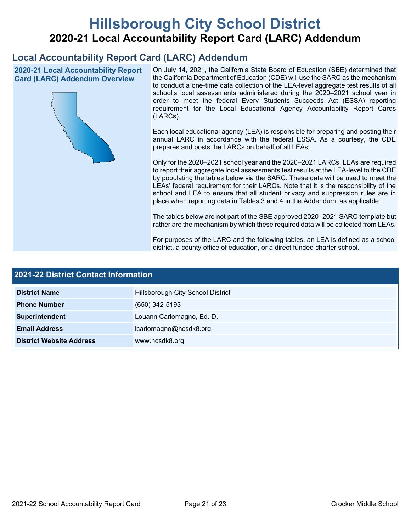# **Hillsborough City School District 2020-21 Local Accountability Report Card (LARC) Addendum**

## **Local Accountability Report Card (LARC) Addendum**

**2020-21 Local Accountability Report Card (LARC) Addendum Overview**



On July 14, 2021, the California State Board of Education (SBE) determined that the California Department of Education (CDE) will use the SARC as the mechanism to conduct a one-time data collection of the LEA-level aggregate test results of all school's local assessments administered during the 2020–2021 school year in order to meet the federal Every Students Succeeds Act (ESSA) reporting requirement for the Local Educational Agency Accountability Report Cards (LARCs).

Each local educational agency (LEA) is responsible for preparing and posting their annual LARC in accordance with the federal ESSA. As a courtesy, the CDE prepares and posts the LARCs on behalf of all LEAs.

Only for the 2020–2021 school year and the 2020–2021 LARCs, LEAs are required to report their aggregate local assessments test results at the LEA-level to the CDE by populating the tables below via the SARC. These data will be used to meet the LEAs' federal requirement for their LARCs. Note that it is the responsibility of the school and LEA to ensure that all student privacy and suppression rules are in place when reporting data in Tables 3 and 4 in the Addendum, as applicable.

The tables below are not part of the SBE approved 2020–2021 SARC template but rather are the mechanism by which these required data will be collected from LEAs.

For purposes of the LARC and the following tables, an LEA is defined as a school district, a county office of education, or a direct funded charter school.

| <b>2021-22 District Contact Information</b> |                                   |  |  |  |
|---------------------------------------------|-----------------------------------|--|--|--|
| <b>District Name</b>                        | Hillsborough City School District |  |  |  |
| <b>Phone Number</b>                         | $(650)$ 342-5193                  |  |  |  |
| Superintendent                              | Louann Carlomagno, Ed. D.         |  |  |  |
| <b>Email Address</b>                        | lcarlomagno@hcsdk8.org            |  |  |  |
| <b>District Website Address</b>             | www.hcsdk8.org                    |  |  |  |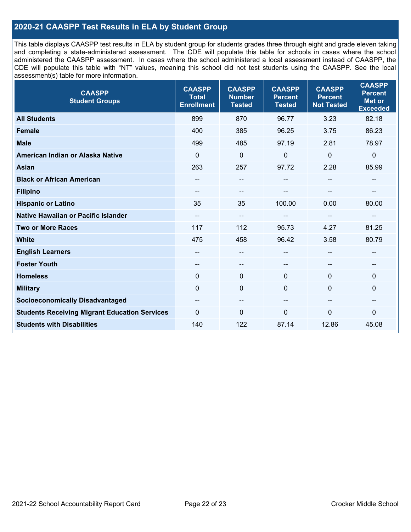### **2020-21 CAASPP Test Results in ELA by Student Group**

This table displays CAASPP test results in ELA by student group for students grades three through eight and grade eleven taking and completing a state-administered assessment. The CDE will populate this table for schools in cases where the school administered the CAASPP assessment. In cases where the school administered a local assessment instead of CAASPP, the CDE will populate this table with "NT" values, meaning this school did not test students using the CAASPP. See the local assessment(s) table for more information.

| <b>CAASPP</b><br><b>Student Groups</b>               | <b>CAASPP</b><br><b>Total</b><br><b>Enrollment</b> | <b>CAASPP</b><br><b>Number</b><br><b>Tested</b> | <b>CAASPP</b><br><b>Percent</b><br><b>Tested</b> | <b>CAASPP</b><br><b>Percent</b><br><b>Not Tested</b> | <b>CAASPP</b><br><b>Percent</b><br><b>Met or</b><br><b>Exceeded</b> |
|------------------------------------------------------|----------------------------------------------------|-------------------------------------------------|--------------------------------------------------|------------------------------------------------------|---------------------------------------------------------------------|
| <b>All Students</b>                                  | 899                                                | 870                                             | 96.77                                            | 3.23                                                 | 82.18                                                               |
| <b>Female</b>                                        | 400                                                | 385                                             | 96.25                                            | 3.75                                                 | 86.23                                                               |
| <b>Male</b>                                          | 499                                                | 485                                             | 97.19                                            | 2.81                                                 | 78.97                                                               |
| American Indian or Alaska Native                     | $\mathbf{0}$                                       | $\mathbf 0$                                     | $\mathbf 0$                                      | 0                                                    | $\mathbf 0$                                                         |
| <b>Asian</b>                                         | 263                                                | 257                                             | 97.72                                            | 2.28                                                 | 85.99                                                               |
| <b>Black or African American</b>                     | $\hspace{0.05cm}$ – $\hspace{0.05cm}$              | $\overline{\phantom{m}}$                        | --                                               | $\sim$                                               | $\overline{\phantom{a}}$                                            |
| <b>Filipino</b>                                      | --                                                 | $-$                                             |                                                  |                                                      |                                                                     |
| <b>Hispanic or Latino</b>                            | 35                                                 | 35                                              | 100.00                                           | 0.00                                                 | 80.00                                                               |
| Native Hawaiian or Pacific Islander                  | --                                                 | --                                              | --                                               | --                                                   | $\overline{\phantom{m}}$                                            |
| <b>Two or More Races</b>                             | 117                                                | 112                                             | 95.73                                            | 4.27                                                 | 81.25                                                               |
| <b>White</b>                                         | 475                                                | 458                                             | 96.42                                            | 3.58                                                 | 80.79                                                               |
| <b>English Learners</b>                              |                                                    | --                                              | --                                               | --                                                   |                                                                     |
| <b>Foster Youth</b>                                  | --                                                 | $\qquad \qquad -$                               | --                                               | --                                                   | --                                                                  |
| <b>Homeless</b>                                      | $\mathbf{0}$                                       | $\mathbf 0$                                     | $\mathbf{0}$                                     | 0                                                    | $\mathbf 0$                                                         |
| <b>Military</b>                                      | $\mathbf 0$                                        | $\pmb{0}$                                       | $\mathbf 0$                                      | $\Omega$                                             | 0                                                                   |
| <b>Socioeconomically Disadvantaged</b>               | $\overline{\phantom{m}}$                           | --                                              | --                                               | --                                                   | --                                                                  |
| <b>Students Receiving Migrant Education Services</b> | $\mathbf{0}$                                       | 0                                               | $\mathbf 0$                                      | $\mathbf{0}$                                         | 0                                                                   |
| <b>Students with Disabilities</b>                    | 140                                                | 122                                             | 87.14                                            | 12.86                                                | 45.08                                                               |